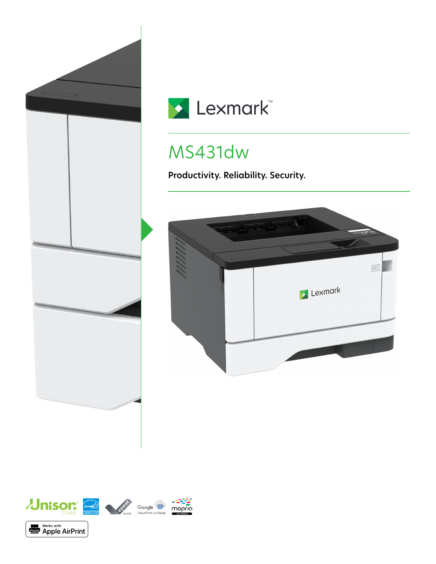



# MS431dw

**Productivity. Reliability. Security.**



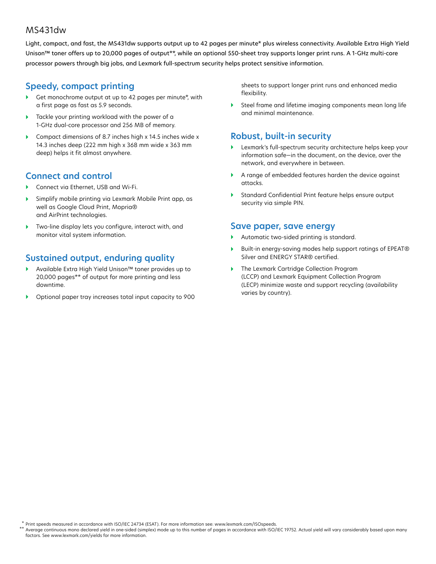#### MS431dw

Light, compact, and fast, the MS431dw supports output up to 42 pages per minute\* plus wireless connectivity. Available Extra High Yield Unison™ toner offers up to 20,000 pages of output\*\*, while an optional 550-sheet tray supports longer print runs. A 1-GHz multi-core processor powers through big jobs, and Lexmark full-spectrum security helps protect sensitive information.

### **Speedy, compact printing**

- Get monochrome output at up to 42 pages per minute\*, with a first page as fast as 5.9 seconds.
- Tackle your printing workload with the power of a 1-GHz dual-core processor and 256 MB of memory.
- Compact dimensions of 8.7 inches high x 14.5 inches wide x 14.3 inches deep (222 mm high x 368 mm wide x 363 mm deep) helps it fit almost anywhere.

## **Connect and control**

- Connect via Ethernet, USB and Wi-Fi.
- Simplify mobile printing via Lexmark Mobile Print app, as well as Google Cloud Print, Mopria® and AirPrint technologies.
- Two-line display lets you configure, interact with, and monitor vital system information.

# **Sustained output, enduring quality**

- Available Extra High Yield Unison™ toner provides up to 20,000 pages\*\* of output for more printing and less downtime.
- Optional paper tray increases total input capacity to 900

sheets to support longer print runs and enhanced media flexibility.

 Steel frame and lifetime imaging components mean long life and minimal maintenance.

#### **Robust, built-in security**

- Lexmark's full-spectrum security architecture helps keep your information safe—in the document, on the device, over the network, and everywhere in between.
- A range of embedded features harden the device against attacks.
- Standard Confidential Print feature helps ensure output security via simple PIN.

#### **Save paper, save energy**

- Automatic two-sided printing is standard.
- Built-in energy-saving modes help support ratings of EPEAT® Silver and ENERGY STAR® certified.
- The Lexmark Cartridge Collection Program (LCCP) and Lexmark Equipment Collection Program (LECP) minimize waste and support recycling (availability varies by country).

Print speeds measured in accordance with ISO/IEC 24734 (ESAT). For more information see: www.lexmark.com/ISOspeeds. \*

Average continuous mono declared yield in one-sided (simplex) mode up to this number of pages in accordance with ISO/IEC 19752. Actual yield will vary considerably based upon many factors. See www.lexmark.com/yields for more information. \*\*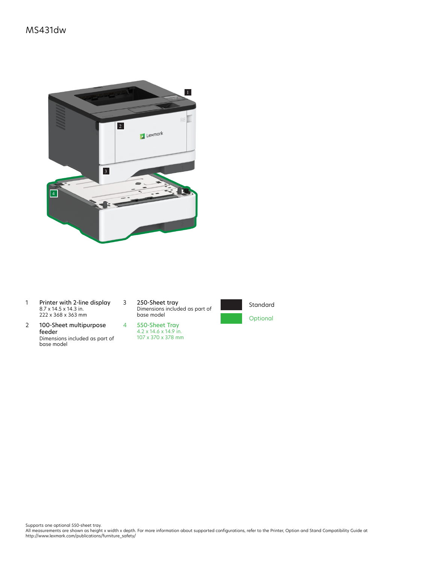

- 1 Printer with 2-line display 8.7 x 14.5 x 14.3 in. 222 x 368 x 363 mm
- 2 100-Sheet multipurpose feeder Dimensions included as part of base model

3 250-Sheet tray Dimensions included as part of base model





Supports one optional 550-sheet tray.<br>All measurements are shown as height x width x depth. For more information about supported configurations, refer to the Printer, Option and Stand Compatibility Guide at<br>http://www.lexm